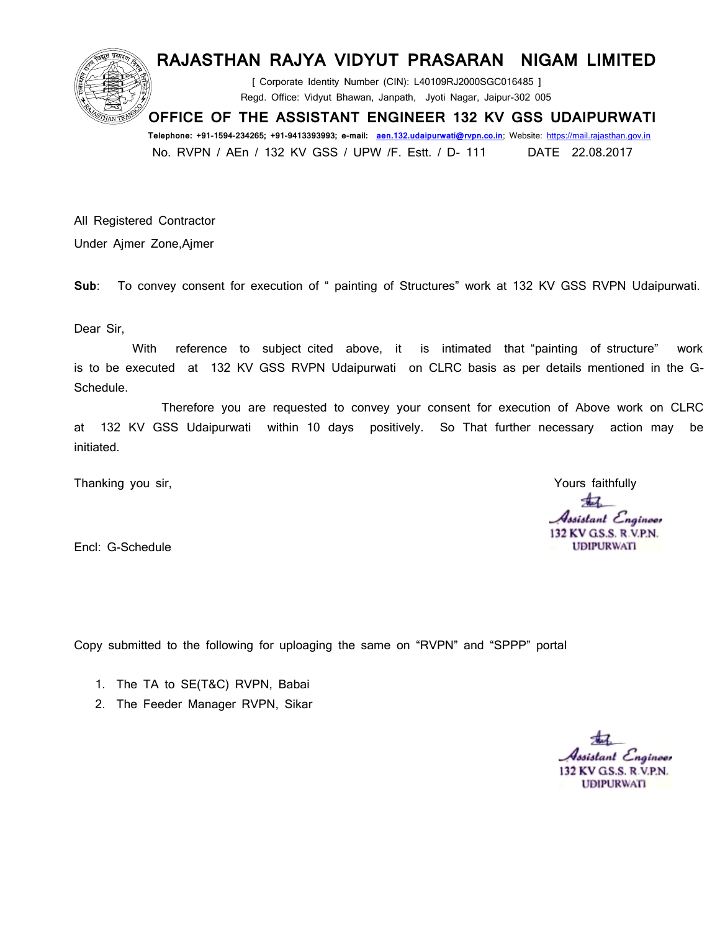## **RAJASTHAN RAJYA VIDYUT PRASARAN NIGAM LIMITED**

 **[ Corporate Identity Number (CIN): L40109RJ2000SGC016485 ] Regd. Office: Vidyut Bhawan, Janpath, Jyoti Nagar, Jaipur-302 005**

 **OFFICE OF THE ASSISTANT ENGINEER 132 KV GSS UDAIPURWATI** 

 **Telephone: +91-1594-234265; +91-9413393993; e-mail: [aen.132.udaipurwati@rvpn.co.in;](mailto:aen.132.udaipurwati@rvpn.co.in) Website: [https://mail.rajasthan.gov.in](https://mail.rajasthan.gov.in/) No. RVPN / AEn / 132 KV GSS / UPW /F. Estt. / D- 111 DATE 22.08.2017**

**All Registered Contractor Under Ajmer Zone,Ajmer**

**Sub: To convey consent for execution of " painting of Structures" work at 132 KV GSS RVPN Udaipurwati.**

**Dear Sir,**

With reference to subject cited above, it is intimated that "painting of structure" work **is to be executed at 132 KV GSS RVPN Udaipurwati on CLRC basis as per details mentioned in the G-Schedule.**

 **Therefore you are requested to convey your consent for execution of Above work on CLRC at 132 KV GSS Udaipurwati within 10 days positively. So That further necessary action may be initiated.** 

**Thanking you sir, Thanking Yours faithfully Yours faithfully** 

47 Assistant Engineer 132 KV GS.S. R.V.P.N. **UDIPURWATI** 

**Encl: G-Schedule** 

**Copy submitted to the following for uploaging the same on "RVPN" and "SPPP" portal** 

- **1. The TA to SE(T&C) RVPN, Babai**
- **2. The Feeder Manager RVPN, Sikar**

Assistant Engineer 132 KV G.S.S. R.V.P.N. **UDIPURWATI**